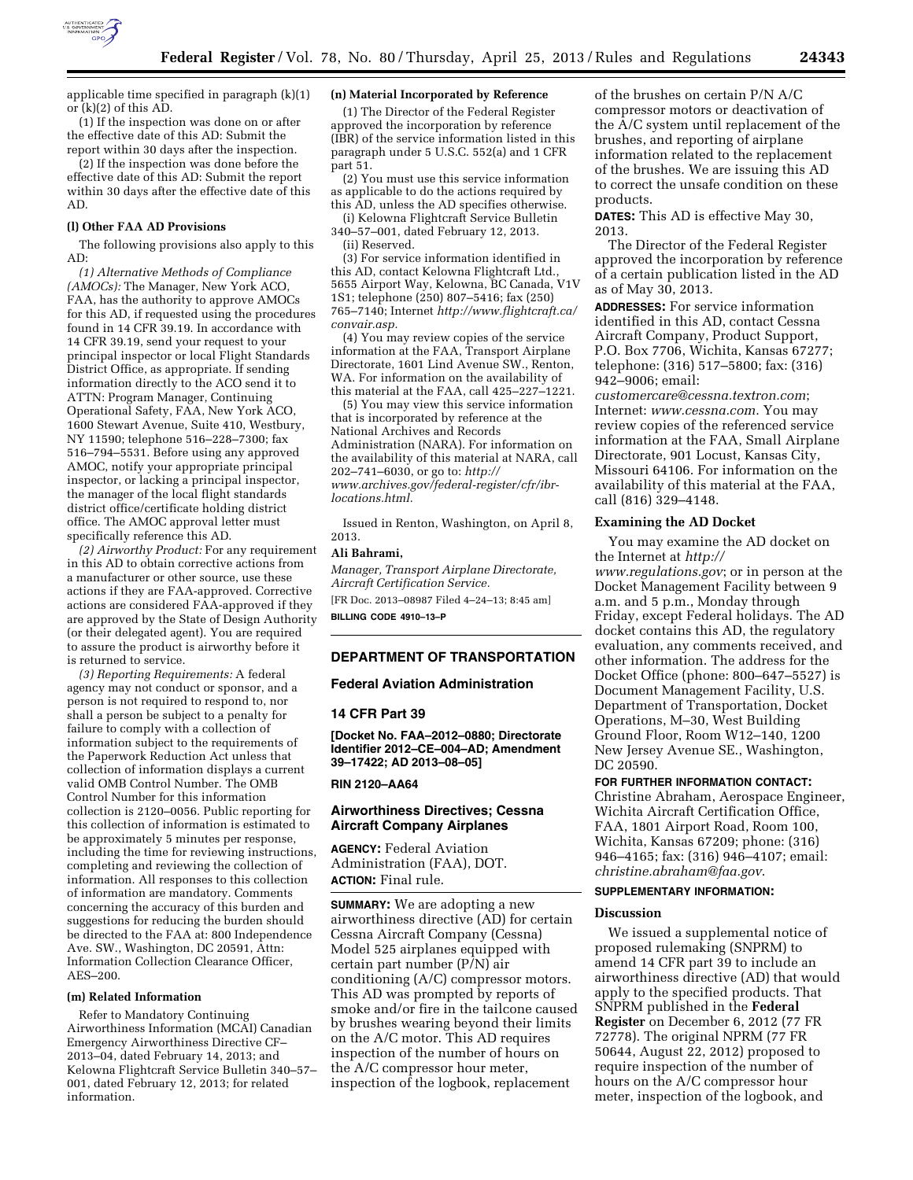

applicable time specified in paragraph (k)(1) or (k)(2) of this AD.

(1) If the inspection was done on or after the effective date of this AD: Submit the report within 30 days after the inspection.

(2) If the inspection was done before the effective date of this AD: Submit the report within 30 days after the effective date of this AD.

#### **(l) Other FAA AD Provisions**

The following provisions also apply to this AD:

*(1) Alternative Methods of Compliance (AMOCs):* The Manager, New York ACO, FAA, has the authority to approve AMOCs for this AD, if requested using the procedures found in 14 CFR 39.19. In accordance with 14 CFR 39.19, send your request to your principal inspector or local Flight Standards District Office, as appropriate. If sending information directly to the ACO send it to ATTN: Program Manager, Continuing Operational Safety, FAA, New York ACO, 1600 Stewart Avenue, Suite 410, Westbury, NY 11590; telephone 516–228–7300; fax 516–794–5531. Before using any approved AMOC, notify your appropriate principal inspector, or lacking a principal inspector, the manager of the local flight standards district office/certificate holding district office. The AMOC approval letter must specifically reference this AD.

*(2) Airworthy Product:* For any requirement in this AD to obtain corrective actions from a manufacturer or other source, use these actions if they are FAA-approved. Corrective actions are considered FAA-approved if they are approved by the State of Design Authority (or their delegated agent). You are required to assure the product is airworthy before it is returned to service.

*(3) Reporting Requirements:* A federal agency may not conduct or sponsor, and a person is not required to respond to, nor shall a person be subject to a penalty for failure to comply with a collection of information subject to the requirements of the Paperwork Reduction Act unless that collection of information displays a current valid OMB Control Number. The OMB Control Number for this information collection is 2120–0056. Public reporting for this collection of information is estimated to be approximately 5 minutes per response, including the time for reviewing instructions, completing and reviewing the collection of information. All responses to this collection of information are mandatory. Comments concerning the accuracy of this burden and suggestions for reducing the burden should be directed to the FAA at: 800 Independence Ave. SW., Washington, DC 20591, Attn: Information Collection Clearance Officer, AES–200.

#### **(m) Related Information**

Refer to Mandatory Continuing Airworthiness Information (MCAI) Canadian Emergency Airworthiness Directive CF– 2013–04, dated February 14, 2013; and Kelowna Flightcraft Service Bulletin 340–57– 001, dated February 12, 2013; for related information.

#### **(n) Material Incorporated by Reference**

(1) The Director of the Federal Register approved the incorporation by reference (IBR) of the service information listed in this paragraph under 5 U.S.C. 552(a) and 1 CFR part 51.

(2) You must use this service information as applicable to do the actions required by this AD, unless the AD specifies otherwise.

(i) Kelowna Flightcraft Service Bulletin 340–57–001, dated February 12, 2013.

(ii) Reserved.

(3) For service information identified in this AD, contact Kelowna Flightcraft Ltd., 5655 Airport Way, Kelowna, BC Canada, V1V 1S1; telephone (250) 807–5416; fax (250) 765–7140; Internet *[http://www.flightcraft.ca/](http://www.flightcraft.ca/convair.asp) [convair.asp.](http://www.flightcraft.ca/convair.asp)* 

(4) You may review copies of the service information at the FAA, Transport Airplane Directorate, 1601 Lind Avenue SW., Renton, WA. For information on the availability of this material at the FAA, call 425–227–1221.

(5) You may view this service information that is incorporated by reference at the National Archives and Records Administration (NARA). For information on the availability of this material at NARA, call 202–741–6030, or go to: *[http://](http://www.archives.gov/federal-register/cfr/ibr-locations.html) [www.archives.gov/federal-register/cfr/ibr](http://www.archives.gov/federal-register/cfr/ibr-locations.html)[locations.html.](http://www.archives.gov/federal-register/cfr/ibr-locations.html)* 

Issued in Renton, Washington, on April 8, 2013.

## **Ali Bahrami,**

*Manager, Transport Airplane Directorate, Aircraft Certification Service.*  [FR Doc. 2013–08987 Filed 4–24–13; 8:45 am] **BILLING CODE 4910–13–P** 

## **DEPARTMENT OF TRANSPORTATION**

## **Federal Aviation Administration**

#### **14 CFR Part 39**

**[Docket No. FAA–2012–0880; Directorate Identifier 2012–CE–004–AD; Amendment 39–17422; AD 2013–08–05]** 

#### **RIN 2120–AA64**

## **Airworthiness Directives; Cessna Aircraft Company Airplanes**

**AGENCY:** Federal Aviation Administration (FAA), DOT. **ACTION:** Final rule.

**SUMMARY:** We are adopting a new airworthiness directive (AD) for certain Cessna Aircraft Company (Cessna) Model 525 airplanes equipped with certain part number (P/N) air conditioning (A/C) compressor motors. This AD was prompted by reports of smoke and/or fire in the tailcone caused by brushes wearing beyond their limits on the A/C motor. This AD requires inspection of the number of hours on the A/C compressor hour meter, inspection of the logbook, replacement

of the brushes on certain P/N A/C compressor motors or deactivation of the A/C system until replacement of the brushes, and reporting of airplane information related to the replacement of the brushes. We are issuing this AD to correct the unsafe condition on these products.

**DATES:** This AD is effective May 30, 2013.

The Director of the Federal Register approved the incorporation by reference of a certain publication listed in the AD as of May 30, 2013.

**ADDRESSES:** For service information identified in this AD, contact Cessna Aircraft Company, Product Support, P.O. Box 7706, Wichita, Kansas 67277; telephone: (316) 517–5800; fax: (316) 942–9006; email:

*[customercare@cessna.textron.com](mailto:customercare@cessna.textron.com)*; Internet: *[www.cessna.com.](http://www.cessna.com)* You may review copies of the referenced service information at the FAA, Small Airplane Directorate, 901 Locust, Kansas City, Missouri 64106. For information on the availability of this material at the FAA, call (816) 329–4148.

## **Examining the AD Docket**

You may examine the AD docket on the Internet at *[http://](http://www.regulations.gov)  [www.regulations.gov](http://www.regulations.gov)*; or in person at the Docket Management Facility between 9 a.m. and 5 p.m., Monday through Friday, except Federal holidays. The AD docket contains this AD, the regulatory evaluation, any comments received, and other information. The address for the Docket Office (phone: 800–647–5527) is Document Management Facility, U.S. Department of Transportation, Docket Operations, M–30, West Building Ground Floor, Room W12–140, 1200 New Jersey Avenue SE., Washington, DC 20590.

#### **FOR FURTHER INFORMATION CONTACT:**

Christine Abraham, Aerospace Engineer, Wichita Aircraft Certification Office, FAA, 1801 Airport Road, Room 100, Wichita, Kansas 67209; phone: (316) 946–4165; fax: (316) 946–4107; email: *[christine.abraham@faa.gov](mailto:christine.abraham@faa.gov)*.

## **SUPPLEMENTARY INFORMATION:**

#### **Discussion**

We issued a supplemental notice of proposed rulemaking (SNPRM) to amend 14 CFR part 39 to include an airworthiness directive (AD) that would apply to the specified products. That SNPRM published in the **Federal Register** on December 6, 2012 (77 FR 72778). The original NPRM (77 FR 50644, August 22, 2012) proposed to require inspection of the number of hours on the A/C compressor hour meter, inspection of the logbook, and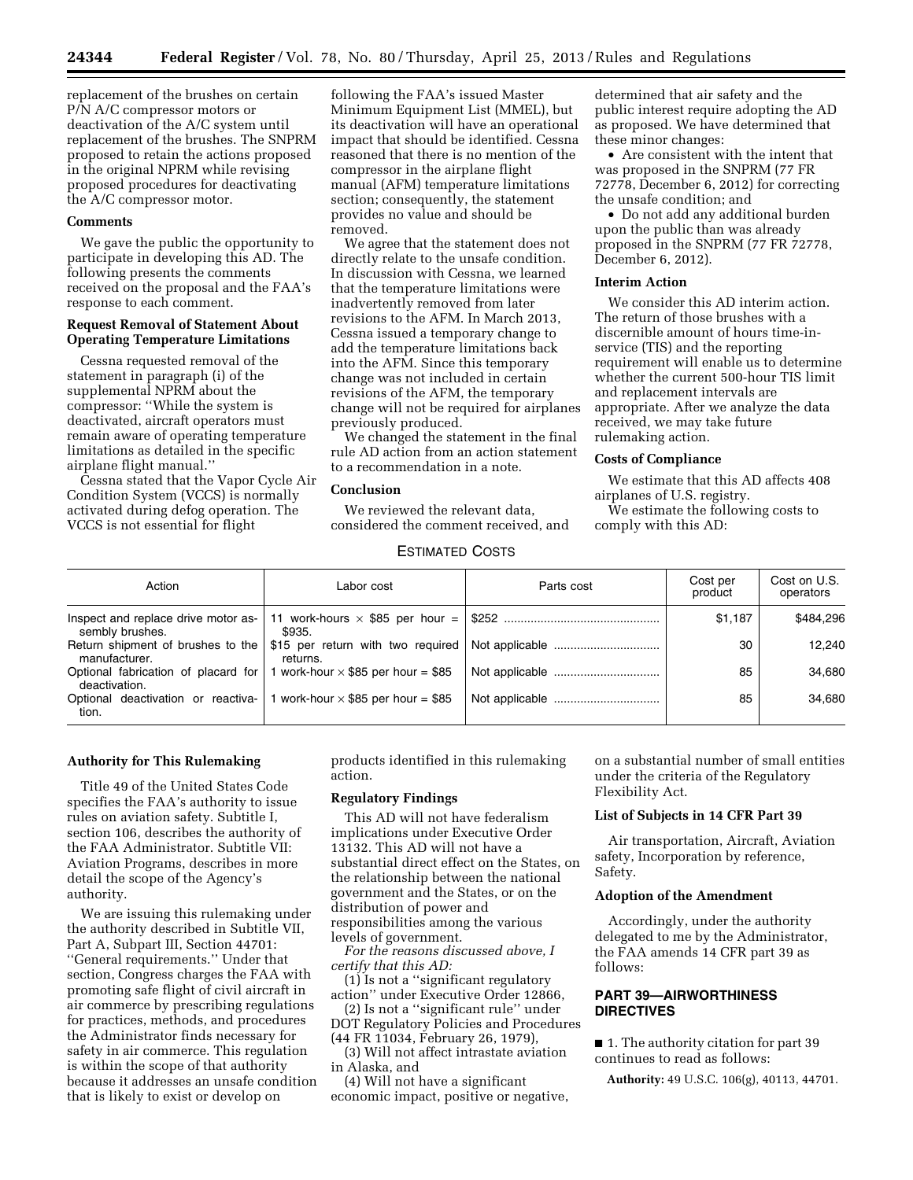replacement of the brushes on certain P/N A/C compressor motors or deactivation of the A/C system until replacement of the brushes. The SNPRM proposed to retain the actions proposed in the original NPRM while revising proposed procedures for deactivating the A/C compressor motor.

#### **Comments**

We gave the public the opportunity to participate in developing this AD. The following presents the comments received on the proposal and the FAA's response to each comment.

## **Request Removal of Statement About Operating Temperature Limitations**

Cessna requested removal of the statement in paragraph (i) of the supplemental NPRM about the compressor: ''While the system is deactivated, aircraft operators must remain aware of operating temperature limitations as detailed in the specific airplane flight manual.''

Cessna stated that the Vapor Cycle Air Condition System (VCCS) is normally activated during defog operation. The VCCS is not essential for flight

following the FAA's issued Master Minimum Equipment List (MMEL), but its deactivation will have an operational impact that should be identified. Cessna reasoned that there is no mention of the compressor in the airplane flight manual (AFM) temperature limitations section; consequently, the statement provides no value and should be removed.

We agree that the statement does not directly relate to the unsafe condition. In discussion with Cessna, we learned that the temperature limitations were inadvertently removed from later revisions to the AFM. In March 2013, Cessna issued a temporary change to add the temperature limitations back into the AFM. Since this temporary change was not included in certain revisions of the AFM, the temporary change will not be required for airplanes previously produced.

We changed the statement in the final rule AD action from an action statement to a recommendation in a note.

## **Conclusion**

We reviewed the relevant data, considered the comment received, and

determined that air safety and the public interest require adopting the AD as proposed. We have determined that these minor changes:

• Are consistent with the intent that was proposed in the SNPRM (77 FR 72778, December 6, 2012) for correcting the unsafe condition; and

• Do not add any additional burden upon the public than was already proposed in the SNPRM (77 FR 72778, December 6, 2012).

#### **Interim Action**

We consider this AD interim action. The return of those brushes with a discernible amount of hours time-inservice (TIS) and the reporting requirement will enable us to determine whether the current 500-hour TIS limit and replacement intervals are appropriate. After we analyze the data received, we may take future rulemaking action.

## **Costs of Compliance**

We estimate that this AD affects 408 airplanes of U.S. registry.

We estimate the following costs to comply with this AD:

# ESTIMATED COSTS

| Action                                                 | Labor cost                                | Parts cost                                                                         | Cost per<br>product | Cost on U.S.<br>operators |
|--------------------------------------------------------|-------------------------------------------|------------------------------------------------------------------------------------|---------------------|---------------------------|
| Inspect and replace drive motor as-<br>sembly brushes. | \$935.                                    |                                                                                    | \$1.187             | \$484.296                 |
| manufacturer.                                          | returns.                                  | Return shipment of brushes to the \$15 per return with two required Not applicable | 30                  | 12.240                    |
| Optional fabrication of placard for<br>deactivation.   | 1 work-hour $\times$ \$85 per hour = \$85 |                                                                                    | 85                  | 34.680                    |
| Optional deactivation or reactiva-<br>tion.            | 1 work-hour $\times$ \$85 per hour = \$85 |                                                                                    | 85                  | 34.680                    |

## **Authority for This Rulemaking**

Title 49 of the United States Code specifies the FAA's authority to issue rules on aviation safety. Subtitle I, section 106, describes the authority of the FAA Administrator. Subtitle VII: Aviation Programs, describes in more detail the scope of the Agency's authority.

We are issuing this rulemaking under the authority described in Subtitle VII, Part A, Subpart III, Section 44701: ''General requirements.'' Under that section, Congress charges the FAA with promoting safe flight of civil aircraft in air commerce by prescribing regulations for practices, methods, and procedures the Administrator finds necessary for safety in air commerce. This regulation is within the scope of that authority because it addresses an unsafe condition that is likely to exist or develop on

products identified in this rulemaking action.

# **Regulatory Findings**

This AD will not have federalism implications under Executive Order 13132. This AD will not have a substantial direct effect on the States, on the relationship between the national government and the States, or on the distribution of power and responsibilities among the various levels of government.

*For the reasons discussed above, I certify that this AD:* 

(1) Is not a ''significant regulatory action'' under Executive Order 12866,

(2) Is not a ''significant rule'' under DOT Regulatory Policies and Procedures (44 FR 11034, February 26, 1979),

(3) Will not affect intrastate aviation in Alaska, and

(4) Will not have a significant economic impact, positive or negative,

on a substantial number of small entities under the criteria of the Regulatory Flexibility Act.

#### **List of Subjects in 14 CFR Part 39**

Air transportation, Aircraft, Aviation safety, Incorporation by reference, Safety.

## **Adoption of the Amendment**

Accordingly, under the authority delegated to me by the Administrator, the FAA amends 14 CFR part 39 as follows:

# **PART 39—AIRWORTHINESS DIRECTIVES**

■ 1. The authority citation for part 39 continues to read as follows:

**Authority:** 49 U.S.C. 106(g), 40113, 44701.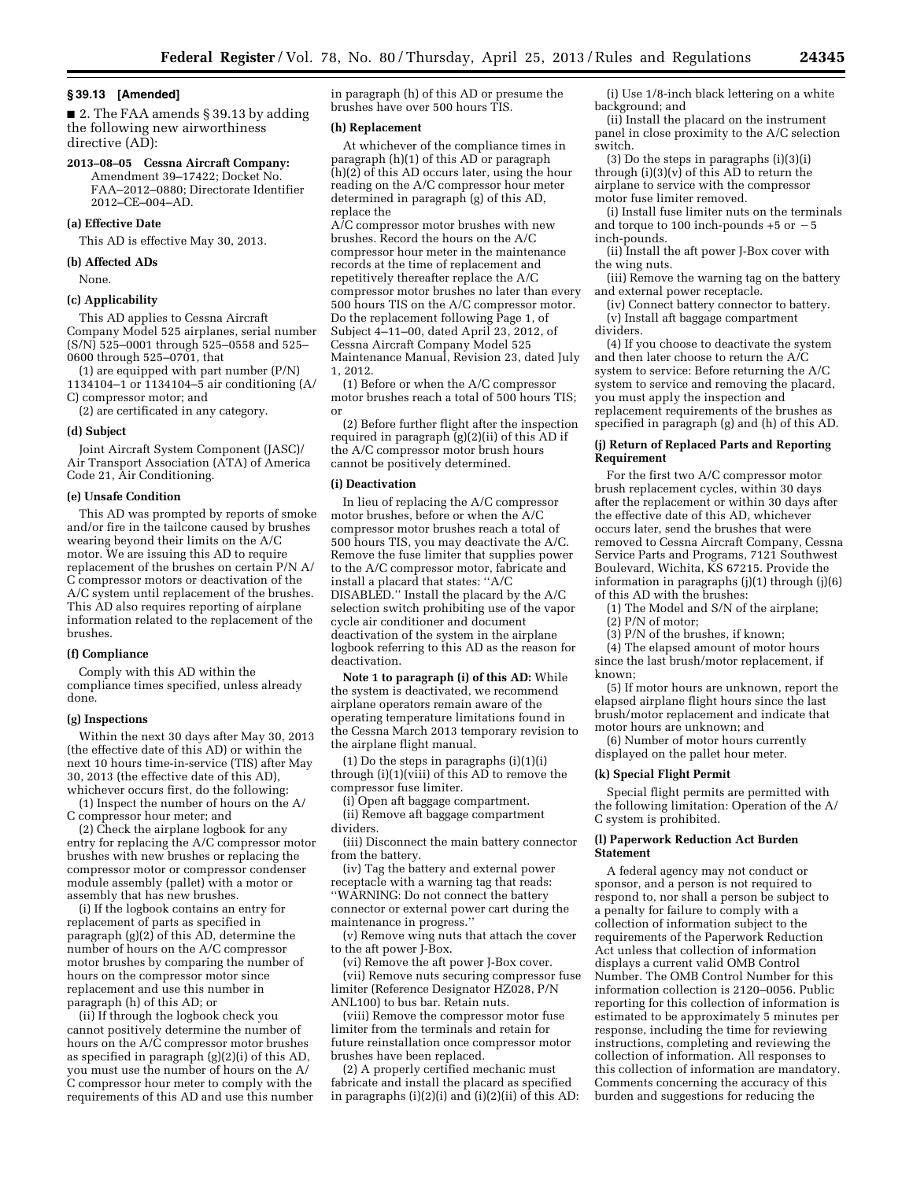#### **§ 39.13 [Amended]**

■ 2. The FAA amends § 39.13 by adding the following new airworthiness directive (AD):

#### **2013–08–05 Cessna Aircraft Company:**  Amendment 39–17422; Docket No.

FAA–2012–0880; Directorate Identifier 2012–CE–004–AD.

## **(a) Effective Date**

This AD is effective May 30, 2013.

#### **(b) Affected ADs**

None.

## **(c) Applicability**

This AD applies to Cessna Aircraft Company Model 525 airplanes, serial number (S/N) 525–0001 through 525–0558 and 525– 0600 through 525–0701, that

(1) are equipped with part number (P/N) 1134104–1 or 1134104–5 air conditioning (A/ C) compressor motor; and

(2) are certificated in any category.

#### **(d) Subject**

Joint Aircraft System Component (JASC)/ Air Transport Association (ATA) of America Code 21, Air Conditioning.

#### **(e) Unsafe Condition**

This AD was prompted by reports of smoke and/or fire in the tailcone caused by brushes wearing beyond their limits on the A/C motor. We are issuing this AD to require replacement of the brushes on certain P/N A/ C compressor motors or deactivation of the A/C system until replacement of the brushes. This AD also requires reporting of airplane information related to the replacement of the brushes.

#### **(f) Compliance**

Comply with this AD within the compliance times specified, unless already done.

## **(g) Inspections**

Within the next 30 days after May 30, 2013 (the effective date of this AD) or within the next 10 hours time-in-service (TIS) after May 30, 2013 (the effective date of this AD), whichever occurs first, do the following:

(1) Inspect the number of hours on the A/ C compressor hour meter; and

(2) Check the airplane logbook for any entry for replacing the A/C compressor motor brushes with new brushes or replacing the compressor motor or compressor condenser module assembly (pallet) with a motor or assembly that has new brushes.

(i) If the logbook contains an entry for replacement of parts as specified in paragraph  $(g)(2)$  of this AD, determine the number of hours on the A/C compressor motor brushes by comparing the number of hours on the compressor motor since replacement and use this number in paragraph (h) of this AD; or

(ii) If through the logbook check you cannot positively determine the number of hours on the A/C compressor motor brushes as specified in paragraph (g)(2)(i) of this AD, you must use the number of hours on the A/ C compressor hour meter to comply with the requirements of this AD and use this number

in paragraph (h) of this AD or presume the brushes have over 500 hours TIS.

#### **(h) Replacement**

At whichever of the compliance times in paragraph (h)(1) of this AD or paragraph  $(h)(2)$  of this AD occurs later, using the hour reading on the A/C compressor hour meter determined in paragraph (g) of this AD, replace the

A/C compressor motor brushes with new brushes. Record the hours on the A/C compressor hour meter in the maintenance records at the time of replacement and repetitively thereafter replace the A/C compressor motor brushes no later than every 500 hours TIS on the A/C compressor motor. Do the replacement following Page 1, of Subject 4–11–00, dated April 23, 2012, of Cessna Aircraft Company Model 525 Maintenance Manual, Revision 23, dated July 1, 2012.

(1) Before or when the A/C compressor motor brushes reach a total of 500 hours TIS; or

(2) Before further flight after the inspection required in paragraph (g)(2)(ii) of this AD if the A/C compressor motor brush hours cannot be positively determined.

## **(i) Deactivation**

In lieu of replacing the A/C compressor motor brushes, before or when the A/C compressor motor brushes reach a total of 500 hours TIS, you may deactivate the A/C. Remove the fuse limiter that supplies power to the A/C compressor motor, fabricate and install a placard that states: ''A/C DISABLED.'' Install the placard by the A/C selection switch prohibiting use of the vapor cycle air conditioner and document deactivation of the system in the airplane logbook referring to this AD as the reason for deactivation.

**Note 1 to paragraph (i) of this AD:** While the system is deactivated, we recommend airplane operators remain aware of the operating temperature limitations found in the Cessna March 2013 temporary revision to the airplane flight manual.

(1) Do the steps in paragraphs (i)(1)(i) through (i)(1)(viii) of this AD to remove the compressor fuse limiter.

(i) Open aft baggage compartment. (ii) Remove aft baggage compartment dividers.

(iii) Disconnect the main battery connector from the battery.

(iv) Tag the battery and external power receptacle with a warning tag that reads: ''WARNING: Do not connect the battery connector or external power cart during the maintenance in progress.''

(v) Remove wing nuts that attach the cover to the aft power J-Box.

(vi) Remove the aft power J-Box cover. (vii) Remove nuts securing compressor fuse limiter (Reference Designator HZ028, P/N ANL100) to bus bar. Retain nuts.

(viii) Remove the compressor motor fuse limiter from the terminals and retain for future reinstallation once compressor motor brushes have been replaced.

(2) A properly certified mechanic must fabricate and install the placard as specified in paragraphs  $(i)(2)(i)$  and  $(i)(2)(ii)$  of this AD:

(i) Use 1/8-inch black lettering on a white background; and

(ii) Install the placard on the instrument panel in close proximity to the A/C selection switch.

(3) Do the steps in paragraphs (i)(3)(i) through  $(i)(3)(v)$  of this AD to return the airplane to service with the compressor motor fuse limiter removed.

(i) Install fuse limiter nuts on the terminals and torque to 100 inch-pounds  $+5$  or  $-5$ inch-pounds.

(ii) Install the aft power J-Box cover with the wing nuts.

(iii) Remove the warning tag on the battery and external power receptacle.

(iv) Connect battery connector to battery. (v) Install aft baggage compartment dividers.

(4) If you choose to deactivate the system and then later choose to return the A/C system to service: Before returning the A/C system to service and removing the placard, you must apply the inspection and replacement requirements of the brushes as specified in paragraph (g) and (h) of this AD.

## **(j) Return of Replaced Parts and Reporting Requirement**

For the first two A/C compressor motor brush replacement cycles, within 30 days after the replacement or within 30 days after the effective date of this AD, whichever occurs later, send the brushes that were removed to Cessna Aircraft Company, Cessna Service Parts and Programs, 7121 Southwest Boulevard, Wichita, KS 67215. Provide the information in paragraphs (j)(1) through (j)(6) of this AD with the brushes:

(1) The Model and S/N of the airplane;

(2) P/N of motor;

(3) P/N of the brushes, if known;

(4) The elapsed amount of motor hours since the last brush/motor replacement, if known;

(5) If motor hours are unknown, report the elapsed airplane flight hours since the last brush/motor replacement and indicate that motor hours are unknown; and

(6) Number of motor hours currently displayed on the pallet hour meter.

#### **(k) Special Flight Permit**

Special flight permits are permitted with the following limitation: Operation of the A/ C system is prohibited.

#### **(l) Paperwork Reduction Act Burden Statement**

A federal agency may not conduct or sponsor, and a person is not required to respond to, nor shall a person be subject to a penalty for failure to comply with a collection of information subject to the requirements of the Paperwork Reduction Act unless that collection of information displays a current valid OMB Control Number. The OMB Control Number for this information collection is 2120–0056. Public reporting for this collection of information is estimated to be approximately 5 minutes per response, including the time for reviewing instructions, completing and reviewing the collection of information. All responses to this collection of information are mandatory. Comments concerning the accuracy of this burden and suggestions for reducing the